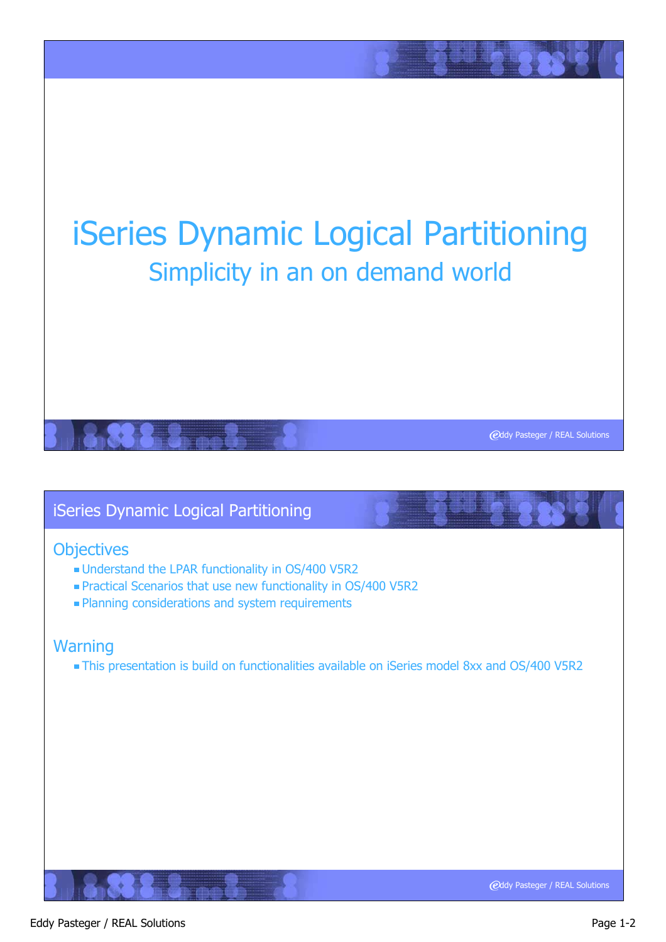# iSeries Dynamic Logical Partitioning Simplicity in an on demand world

# iSeries Dynamic Logical Partitioning

#### **Objectives**

- Understand the LPAR functionality in OS/400 V5R2
- Practical Scenarios that use new functionality in OS/400 V5R2
- **Planning considerations and system requirements**

#### **Warning**

This presentation is build on functionalities available on iSeries model 8xx and OS/400 V5R2

**@ddy Pasteger / REAL Solutions**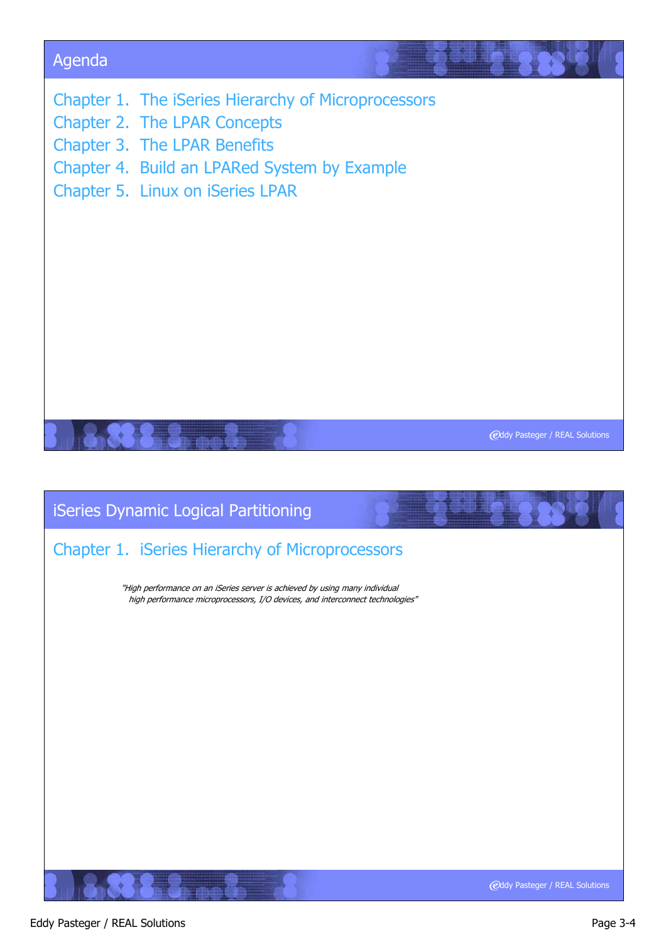

# Chapter 1. iSeries Hierarchy of Microprocessors

"High performance on an iSeries server is achieved by using many individual high performance microprocessors, I/O devices, and interconnect technologies"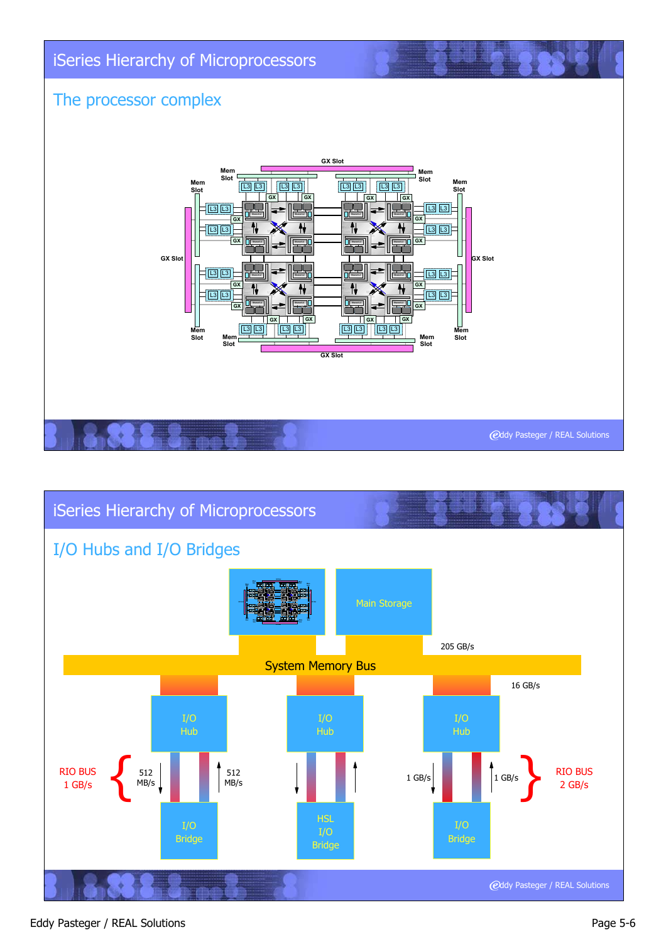



#### Eddy Pasteger / REAL Solutions **Page 5-6**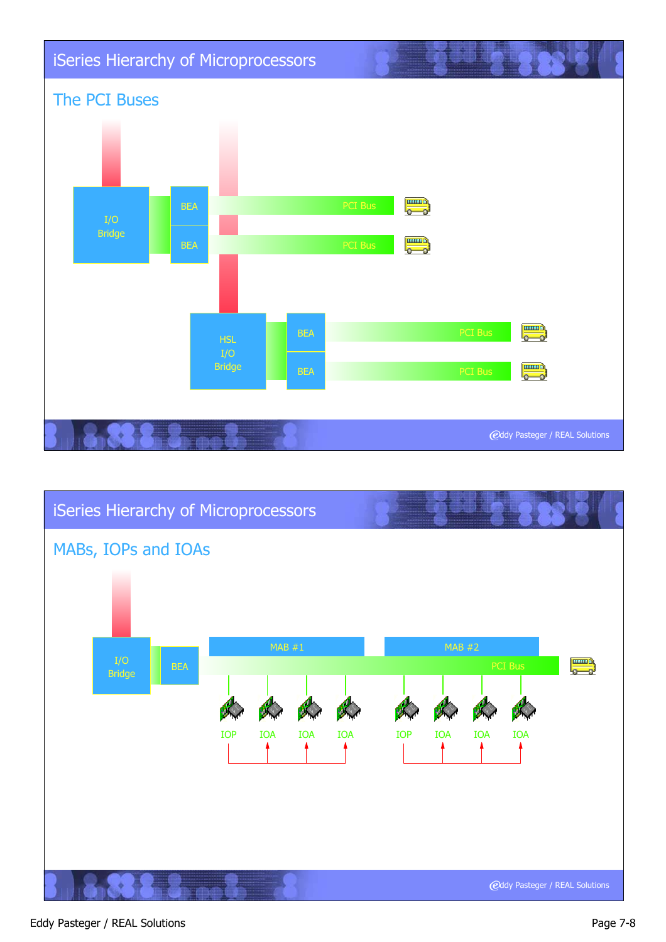



#### Eddy Pasteger / REAL Solutions **Page 7-8**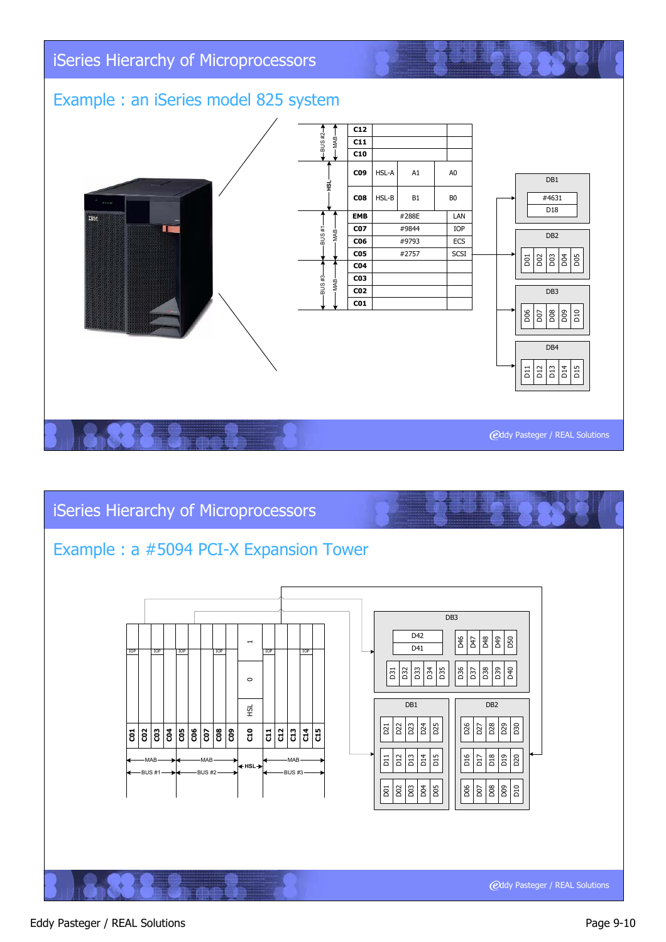# iSeries Hierarchy of Microprocessors

# Example : an iSeries model 825 system



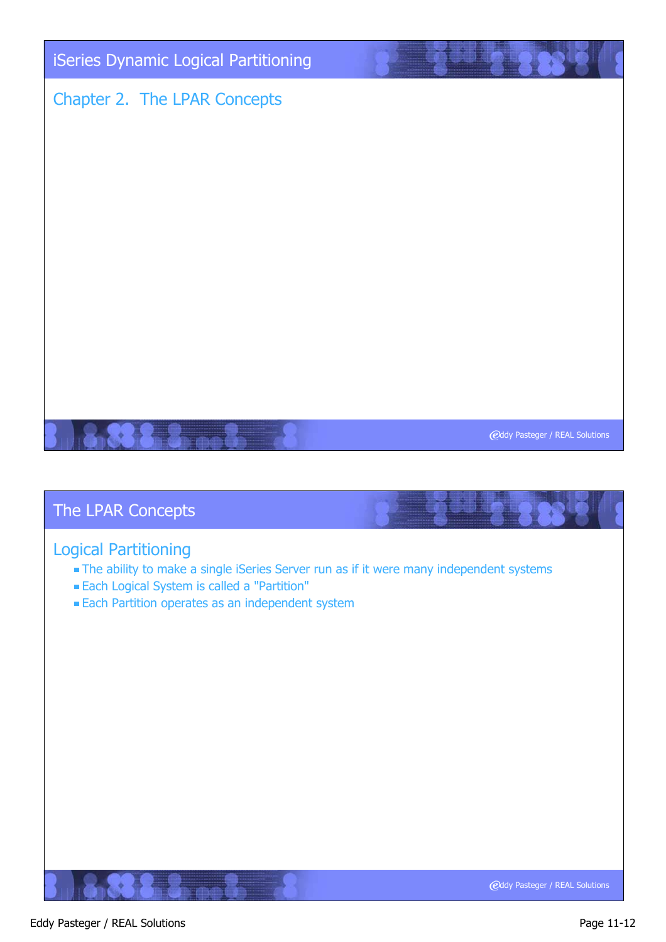

#### Logical Partitioning

- The ability to make a single iSeries Server run as if it were many independent systems
- Each Logical System is called a "Partition"
- **Each Partition operates as an independent system**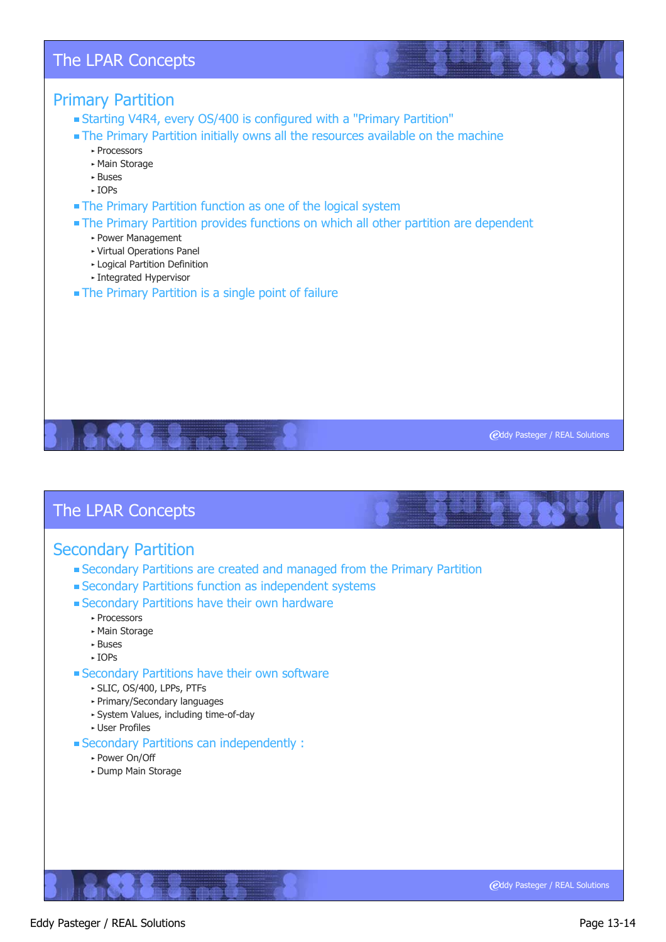#### Primary Partition

- Starting V4R4, every OS/400 is configured with a "Primary Partition"
- The Primary Partition initially owns all the resources available on the machine
	- ► Processors
	- ► Main Storage
	- Buses
	- IOPs
- The Primary Partition function as one of the logical system
- The Primary Partition provides functions on which all other partition are dependent
	- Power Management
	- Virtual Operations Panel
	- Logical Partition Definition
	- Integrated Hypervisor
- The Primary Partition is a single point of failure

#### The LPAR Concepts

#### Secondary Partition

- Secondary Partitions are created and managed from the Primary Partition
- Secondary Partitions function as independent systems
- Secondary Partitions have their own hardware
	- ► Processors
	- Main Storage
	- ► Buses
	- $\triangleright$  IOPs
- Secondary Partitions have their own software
	- SLIC, OS/400, LPPs, PTFs
	- Primary/Secondary languages
	- System Values, including time-of-day
	- User Profiles
- Secondary Partitions can independently :
	- ► Power On/Off
	- Dump Main Storage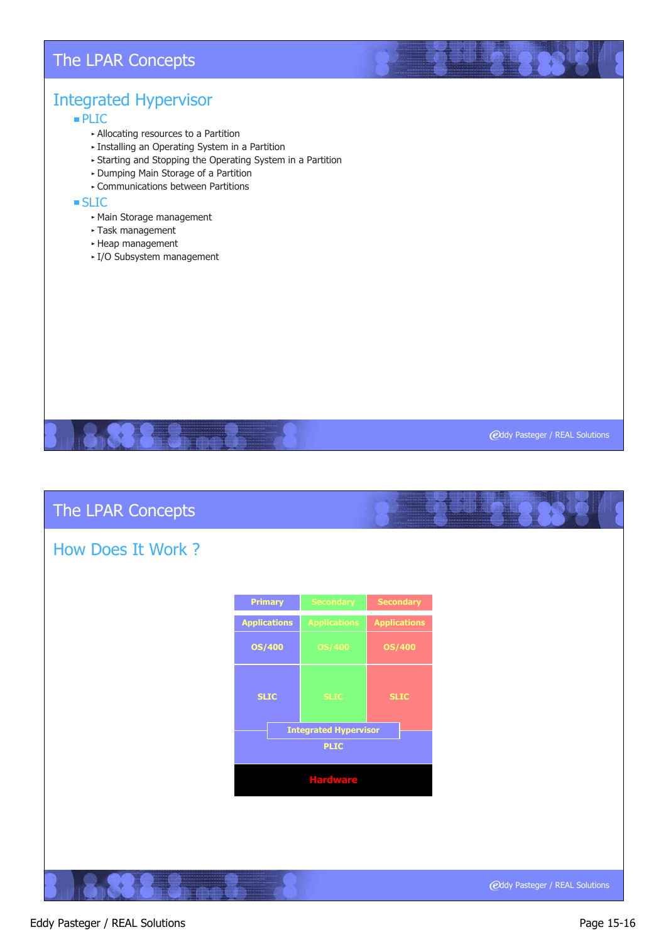# Integrated Hypervisor

PLIC

- Allocating resources to a Partition
- **Example 2** Installing an Operating System in a Partition
- Starting and Stopping the Operating System in a Partition
- Dumping Main Storage of a Partition
- Communications between Partitions

#### **SLIC**

- Main Storage management
- Task management
- Heap management
- ► I/O Subsystem management

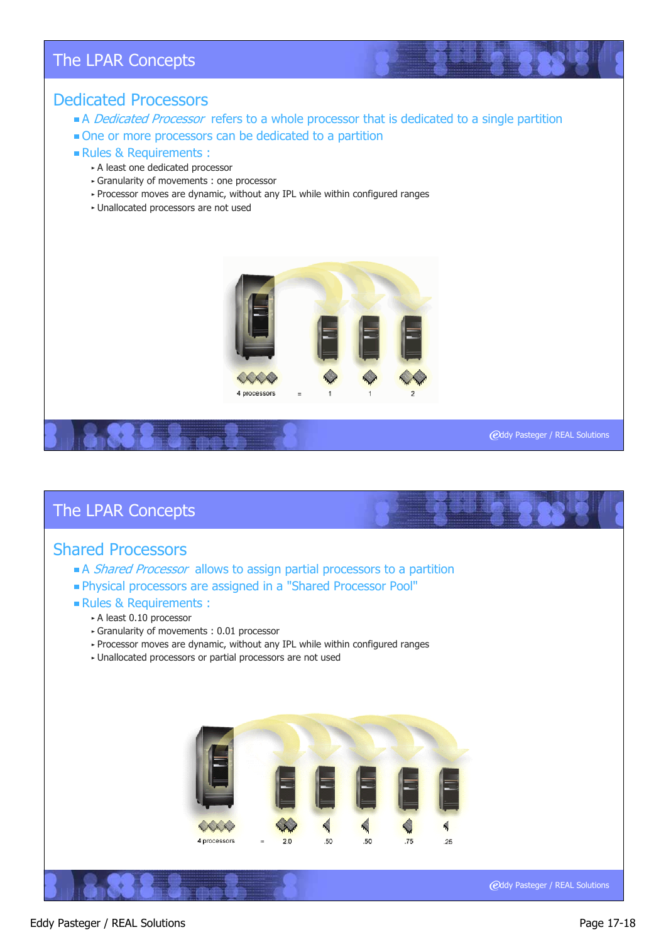#### Dedicated Processors

- A Dedicated Processor refers to a whole processor that is dedicated to a single partition
- One or more processors can be dedicated to a partition
- Rules & Requirements :
	- A least one dedicated processor
	- Granularity of movements : one processor
	- Processor moves are dynamic, without any IPL while within configured ranges
	- Unallocated processors are not used



# **@ddy Pasteger / REAL Solutions**

#### The LPAR Concepts

#### Shared Processors

- A Shared Processor allows to assign partial processors to a partition
- Physical processors are assigned in a "Shared Processor Pool"

#### Rules & Requirements :

- A least 0.10 processor
	- Granularity of movements : 0.01 processor
	- Processor moves are dynamic, without any IPL while within configured ranges
	- Unallocated processors or partial processors are not used

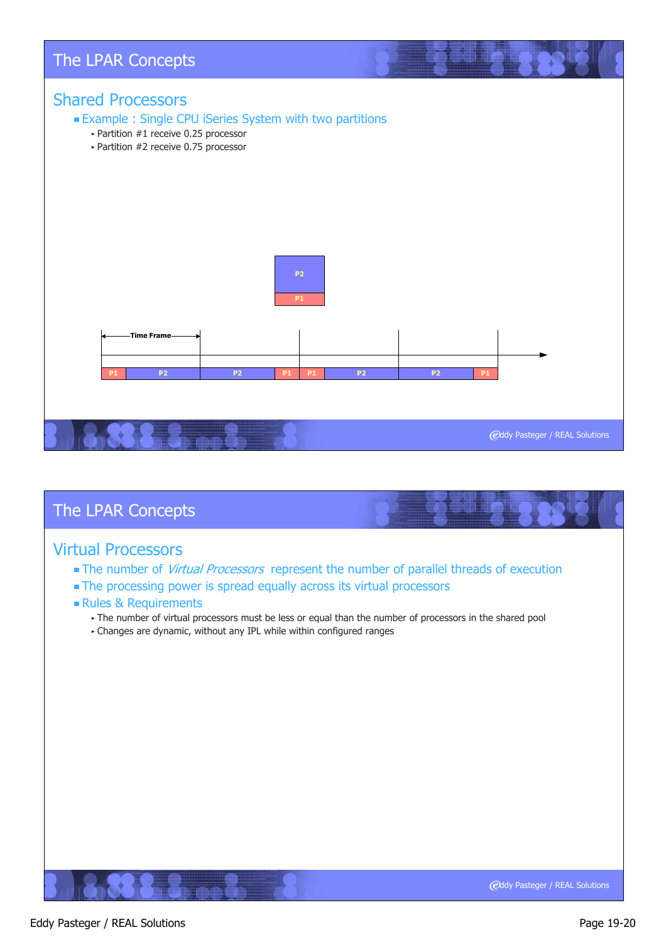

#### Virtual Processors

- The number of Virtual Processors represent the number of parallel threads of execution
- **The processing power is spread equally across its virtual processors**

#### Rules & Requirements

- The number of virtual processors must be less or equal than the number of processors in the shared pool
- Changes are dynamic, without any IPL while within configured ranges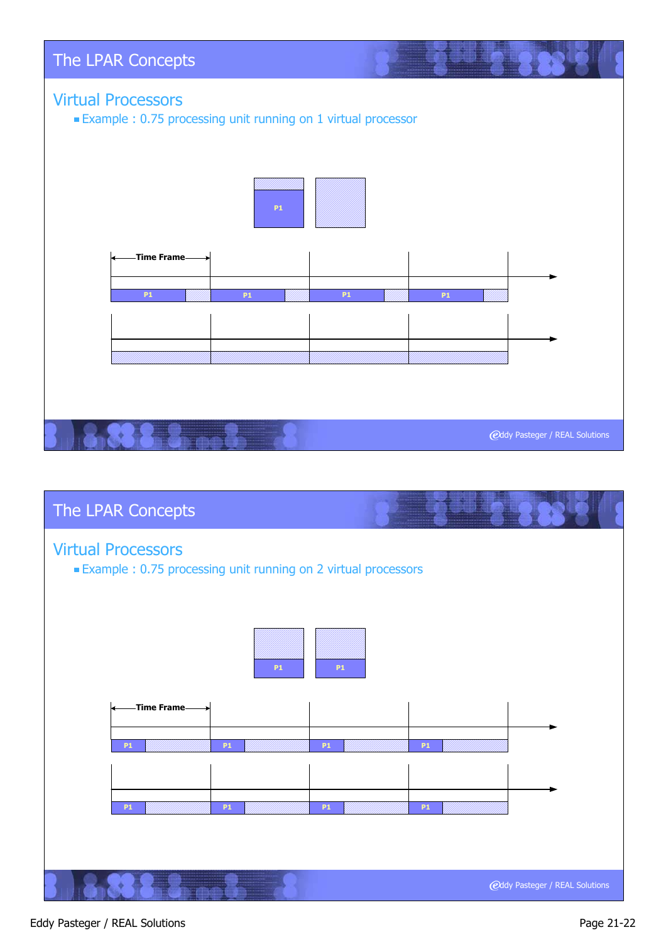



#### Eddy Pasteger / REAL Solutions **Page 21-22**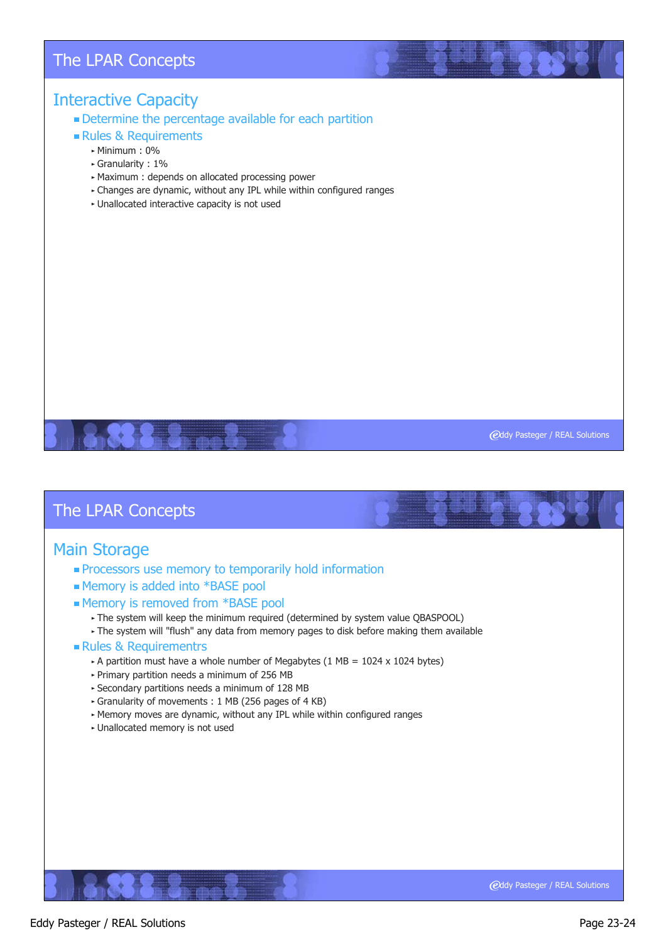#### Interactive Capacity

#### Determine the percentage available for each partition

Rules & Requirements

#### Minimum : 0%

- Granularity : 1%
- Maximum : depends on allocated processing power
- Changes are dynamic, without any IPL while within configured ranges
- Unallocated interactive capacity is not used

**@ddy Pasteger / REAL Solutions** 

#### The LPAR Concepts

#### Main Storage

- **Processors use memory to temporarily hold information**
- Memory is added into \*BASE pool
- Memory is removed from \*BASE pool
	- The system will keep the minimum required (determined by system value QBASPOOL)
	- The system will "flush" any data from memory pages to disk before making them available
- **Rules & Requirementrs** 
	- A partition must have a whole number of Megabytes (1 MB =  $1024 \times 1024$  bytes)
	- $\triangleright$  Primary partition needs a minimum of 256 MB
	- Secondary partitions needs a minimum of 128 MB
	- Granularity of movements : 1 MB (256 pages of 4 KB)
	- Memory moves are dynamic, without any IPL while within configured ranges
	- Unallocated memory is not used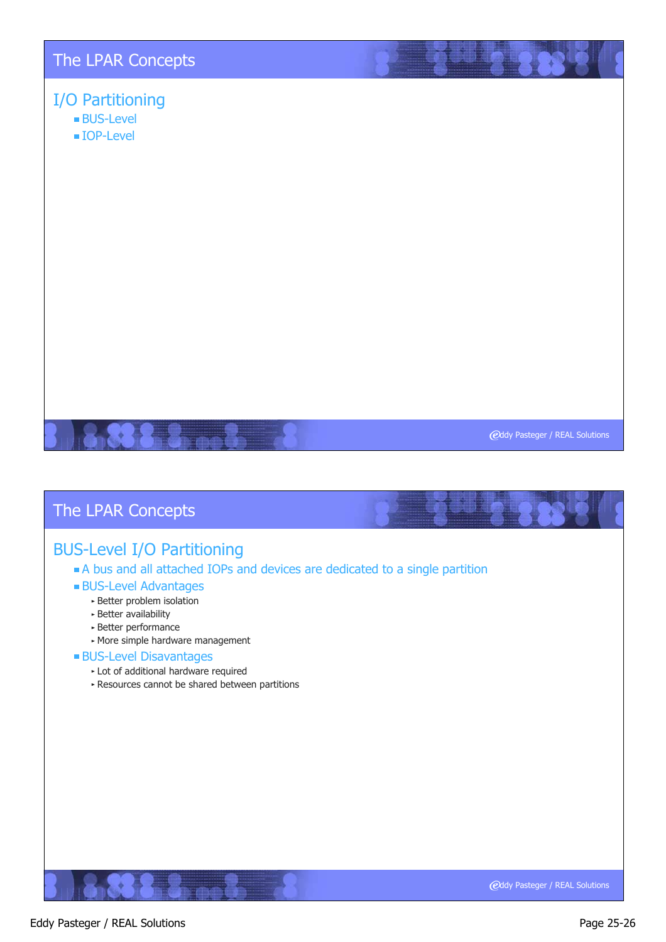# I/O Partitioning

- BUS-Level
- IOP-Level

**@ddy Pasteger / REAL Solutions** 

# The LPAR Concepts

# BUS-Level I/O Partitioning

#### A bus and all attached IOPs and devices are dedicated to a single partition

#### BUS-Level Advantages

- Better problem isolation
- Better availability
- Better performance
- More simple hardware management

#### BUS-Level Disavantages

- Lot of additional hardware required
- Resources cannot be shared between partitions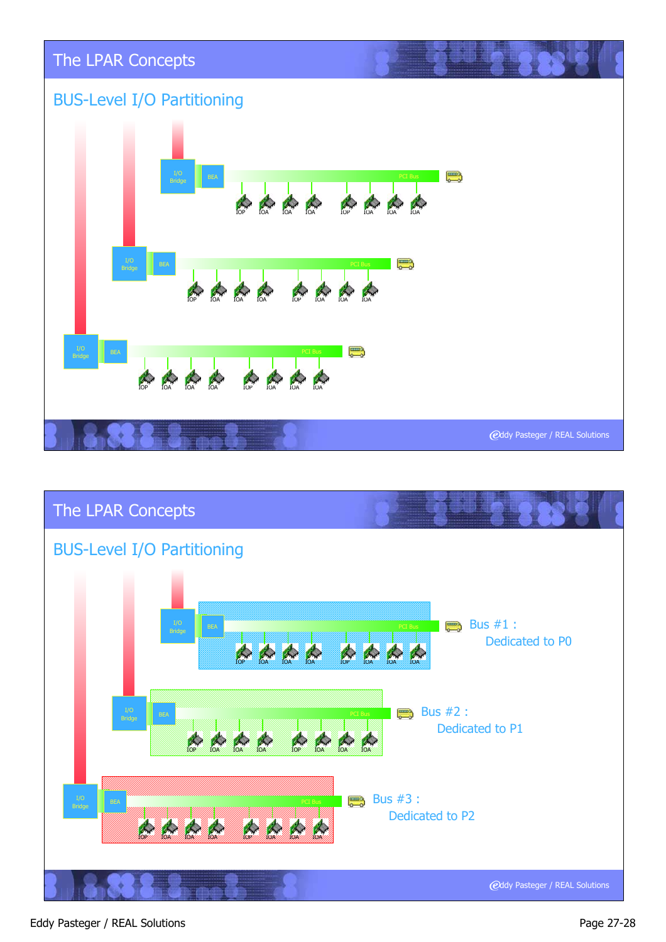



#### Eddy Pasteger / REAL Solutions **Page 27-28**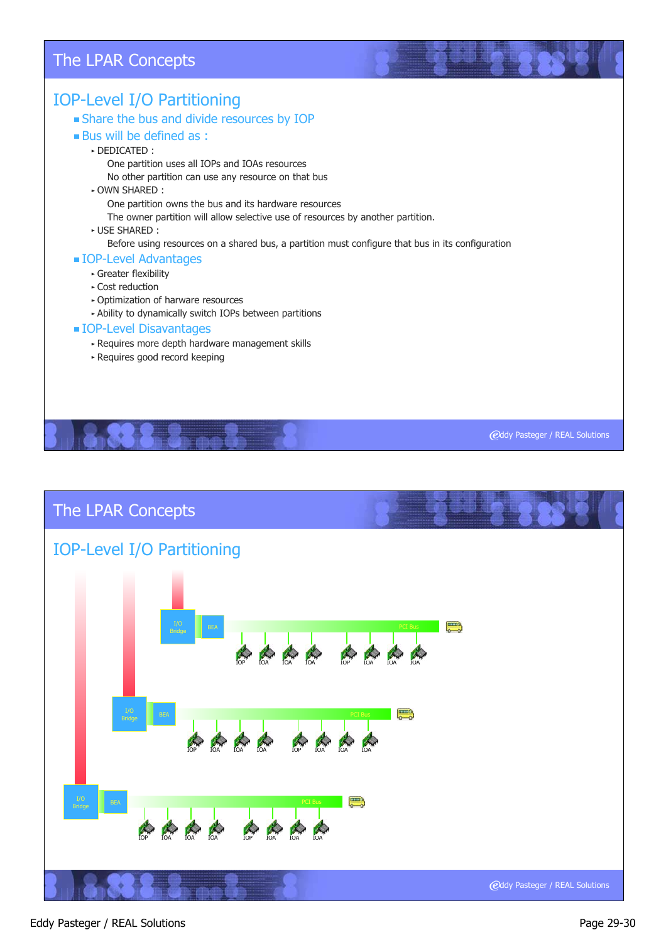#### IOP-Level I/O Partitioning Share the bus and divide resources by IOP **Bus will be defined as :** DEDICATED : One partition uses all IOPs and IOAs resources No other partition can use any resource on that bus OWN SHARED : One partition owns the bus and its hardware resources The owner partition will allow selective use of resources by another partition. USE SHARED : Before using resources on a shared bus, a partition must configure that bus in its configuration IOP-Level Advantages Greater flexibility Cost reduction Optimization of harware resources Ability to dynamically switch IOPs between partitions **IOP-Level Disavantages** Requires more depth hardware management skills Requires good record keeping

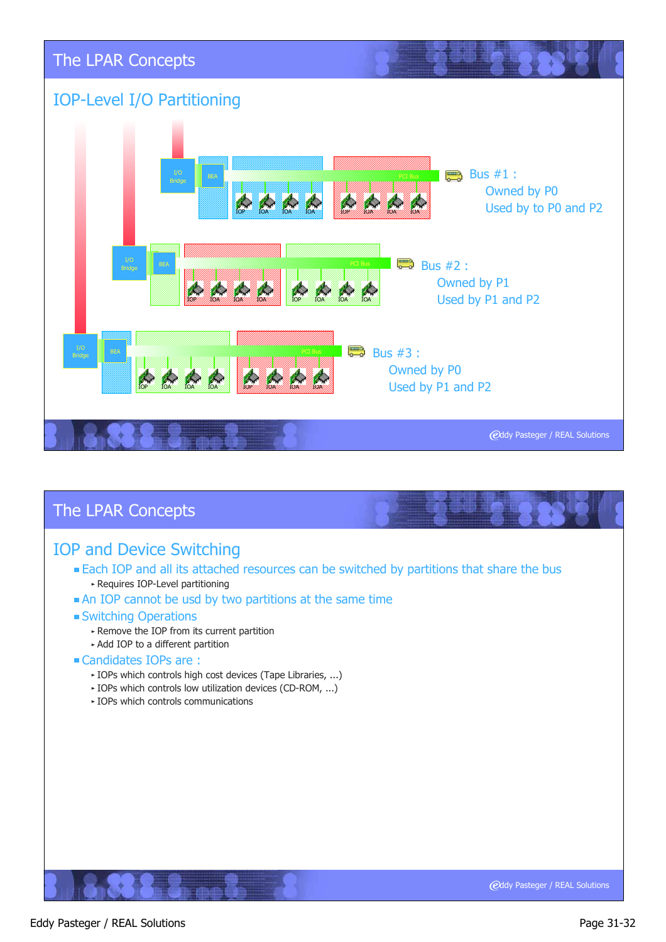

#### IOP and Device Switching

- **Each IOP and all its attached resources can be switched by partitions that share the bus** Requires IOP-Level partitioning
- An IOP cannot be usd by two partitions at the same time

#### Switching Operations

- Remove the IOP from its current partition
- Add IOP to a different partition

#### Candidates IOPs are :

- IOPs which controls high cost devices (Tape Libraries, ...)
- IOPs which controls low utilization devices (CD-ROM, ...)
- $\triangleright$  IOPs which controls communications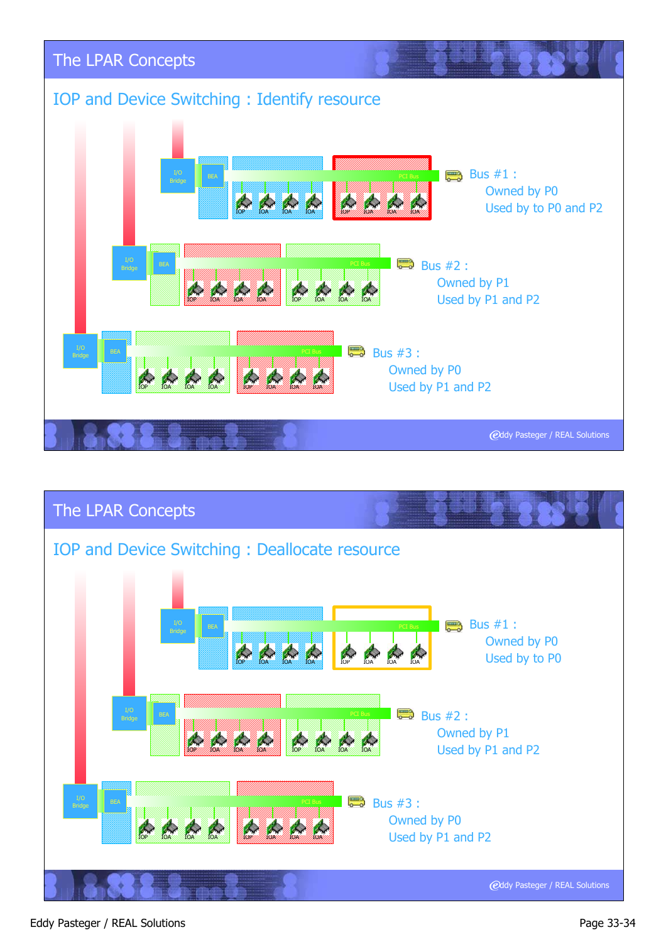



#### Eddy Pasteger / REAL Solutions **Page 33-34**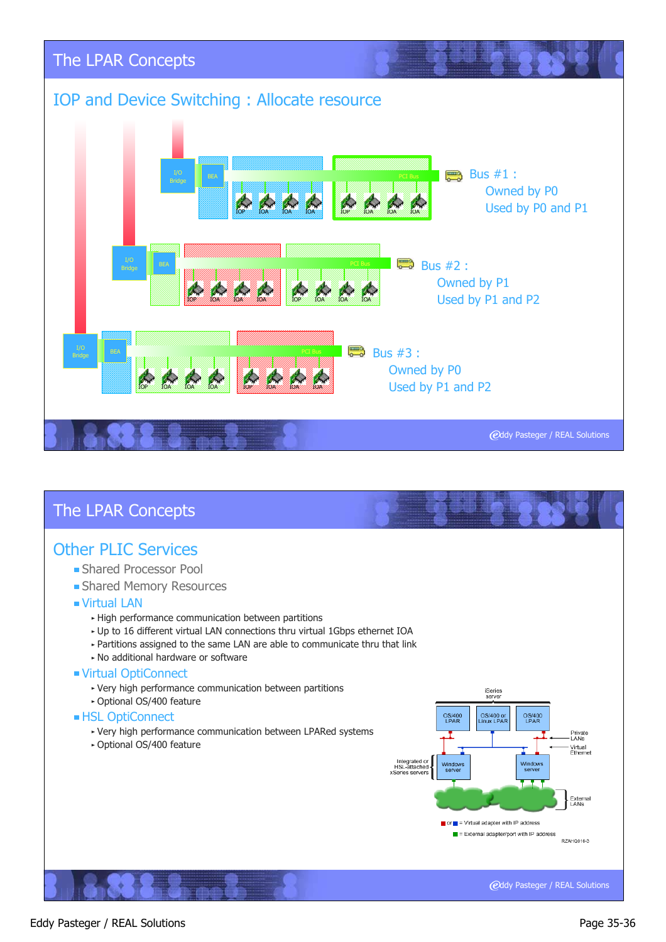

#### Other PLIC Services

- **Shared Processor Pool**
- **Shared Memory Resources**
- Virtual LAN
	- High performance communication between partitions
	- Up to 16 different virtual LAN connections thru virtual 1Gbps ethernet IOA
	- Partitions assigned to the same LAN are able to communicate thru that link
	- No additional hardware or software
- Virtual OptiConnect
	- Very high performance communication between partitions
	- Optional OS/400 feature
- **HSL OptiConnect** 
	- Very high performance communication between LPARed systems
	- Optional OS/400 feature

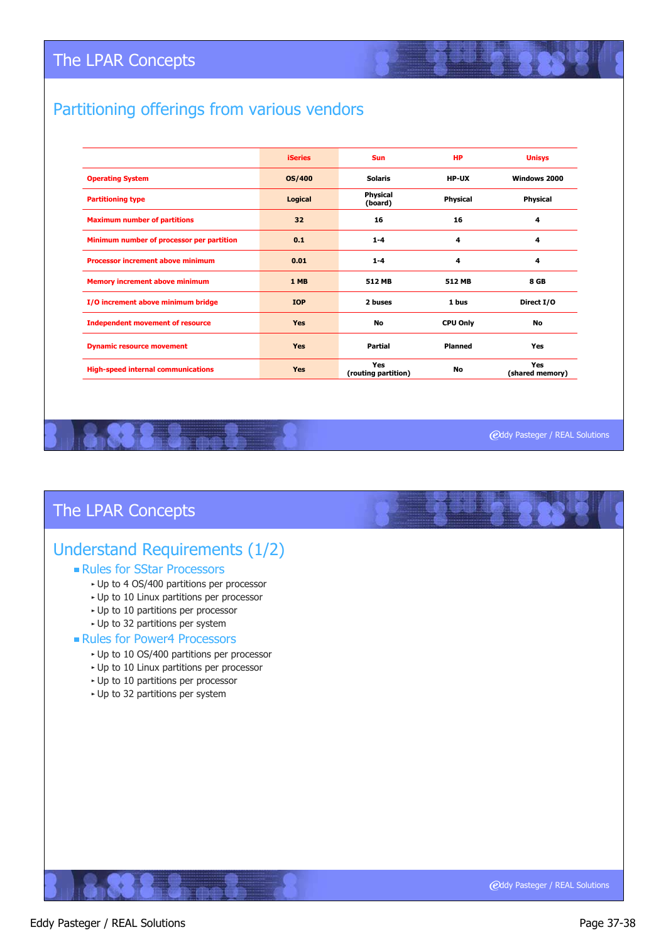# Partitioning offerings from various vendors

|                                           | <b>iSeries</b> | <b>Sun</b>                 | <b>HP</b>       | <b>Unisys</b>          |
|-------------------------------------------|----------------|----------------------------|-----------------|------------------------|
| <b>Operating System</b>                   | <b>OS/400</b>  | <b>Solaris</b>             | <b>HP-UX</b>    | Windows 2000           |
| <b>Partitioning type</b>                  | Logical        | Physical<br>(board)        | <b>Physical</b> | <b>Physical</b>        |
| <b>Maximum number of partitions</b>       | 32             | 16                         | 16              | 4                      |
| Minimum number of processor per partition | 0.1            | $1 - 4$                    | 4               | 4                      |
| <b>Processor increment above minimum</b>  | 0.01           | $1 - 4$                    | 4               | 4                      |
| <b>Memory increment above minimum</b>     | 1 MB           | 512 MB                     | 512 MB          | <b>8 GB</b>            |
| I/O increment above minimum bridge        | <b>IOP</b>     | 2 buses                    | 1 bus           | Direct I/O             |
| <b>Independent movement of resource</b>   | <b>Yes</b>     | No                         | <b>CPU Only</b> | No                     |
| <b>Dynamic resource movement</b>          | <b>Yes</b>     | Partial                    | <b>Planned</b>  | Yes                    |
| <b>High-speed internal communications</b> | <b>Yes</b>     | Yes<br>(routing partition) | No              | Yes<br>(shared memory) |

**@ddy Pasteger / REAL Solutions** 

# The LPAR Concepts

# Understand Requirements (1/2)

#### Rules for SStar Processors

- Up to 4 OS/400 partitions per processor
- Up to 10 Linux partitions per processor
- Up to 10 partitions per processor
- Up to 32 partitions per system

#### Rules for Power4 Processors

- Up to 10 OS/400 partitions per processor
- Up to 10 Linux partitions per processor
- Up to 10 partitions per processor
- Up to 32 partitions per system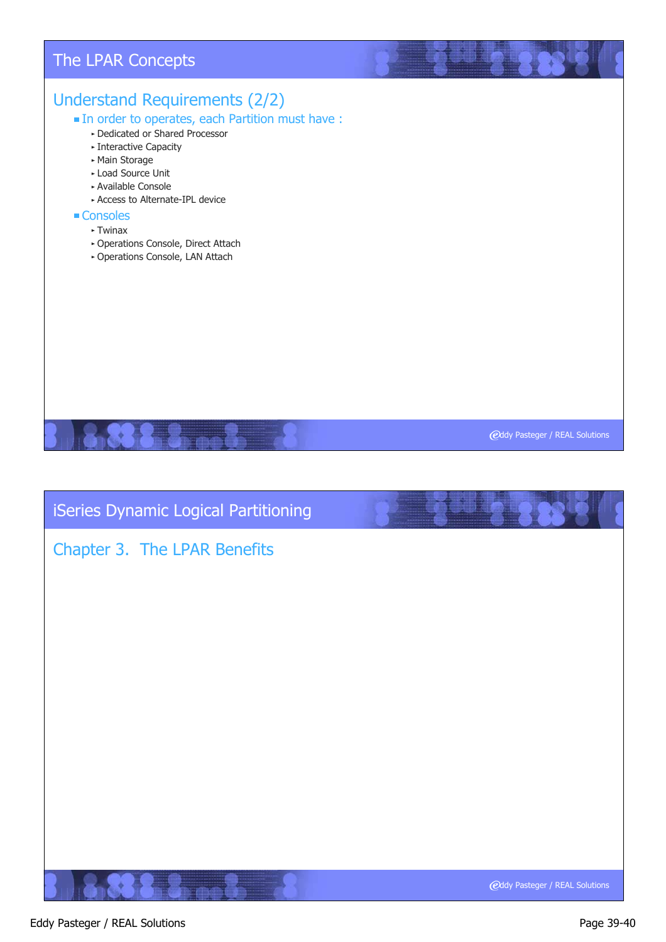# Understand Requirements (2/2) In order to operates, each Partition must have : Dedicated or Shared Processor **Exercitive Capacity** Main Storage Load Source Unit Available Console Access to Alternate-IPL device ■ Consoles  $\blacktriangleright$  Twinax Operations Console, Direct Attach Operations Console, LAN Attach The LPAR Concepts

**@ddy Pasteger / REAL Solutions** 

iSeries Dynamic Logical Partitioning

# Chapter 3. The LPAR Benefits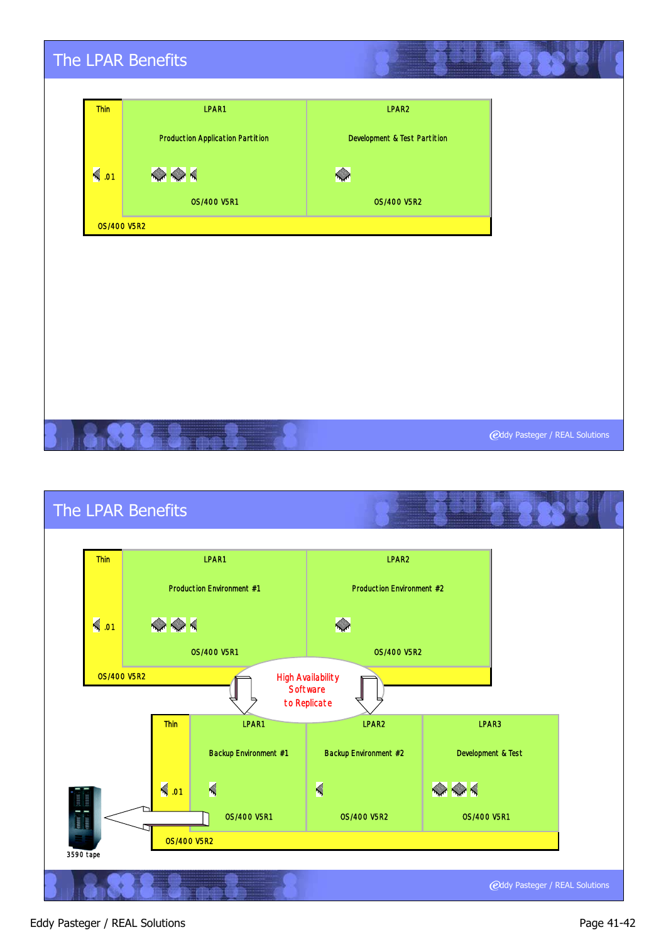|                    | The LPAR Benefits                       |                              |                                |
|--------------------|-----------------------------------------|------------------------------|--------------------------------|
|                    |                                         |                              |                                |
| Thin               | LPAR1                                   | LPAR2                        |                                |
|                    | <b>Production Application Partition</b> | Development & Test Partition |                                |
| $\leq$ .01         | $\bigotimes$                            | K                            |                                |
|                    | <b>0S/400 V5R1</b>                      | <b>OS/400 V5R2</b>           |                                |
| <b>0S/400 V5R2</b> |                                         |                              |                                |
|                    |                                         |                              |                                |
|                    |                                         |                              |                                |
|                    |                                         |                              |                                |
|                    |                                         |                              |                                |
|                    |                                         |                              |                                |
|                    |                                         |                              |                                |
|                    |                                         |                              |                                |
|                    |                                         |                              | @ddy Pasteger / REAL Solutions |



#### Eddy Pasteger / REAL Solutions **Page 41-42** Eddy Pasteger / REAL Solutions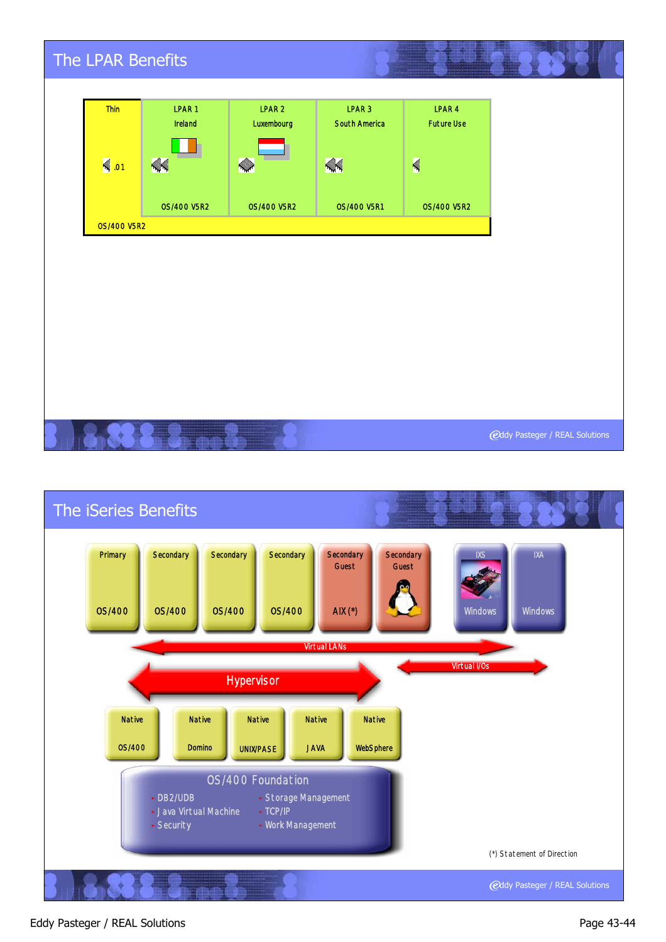| The LPAR Benefits  |                    |                    |                    |                    |                                |
|--------------------|--------------------|--------------------|--------------------|--------------------|--------------------------------|
| Thin               | LPAR1              | LPAR <sub>2</sub>  | LPAR <sub>3</sub>  | LPAR 4             |                                |
|                    | Ireland            | Luxembourg         | South America      | <b>Future Use</b>  |                                |
| $\leq$ .01         | XX                 | X                  | X                  | $\blacksquare$     |                                |
|                    | <b>0S/400 V5R2</b> | <b>0S/400 V5R2</b> | <b>OS/400 V5R1</b> | <b>OS/400 V5R2</b> |                                |
| <b>0S/400 V5R2</b> |                    |                    |                    |                    |                                |
|                    |                    |                    |                    |                    |                                |
|                    |                    |                    |                    |                    |                                |
|                    |                    |                    |                    |                    |                                |
|                    |                    |                    |                    |                    |                                |
|                    |                    |                    |                    |                    |                                |
|                    |                    |                    |                    |                    |                                |
|                    |                    |                    |                    |                    |                                |
|                    |                    |                    |                    |                    |                                |
|                    |                    |                    |                    |                    | @ddy Pasteger / REAL Solutions |



#### Eddy Pasteger / REAL Solutions **Page 43-44** Page 43-44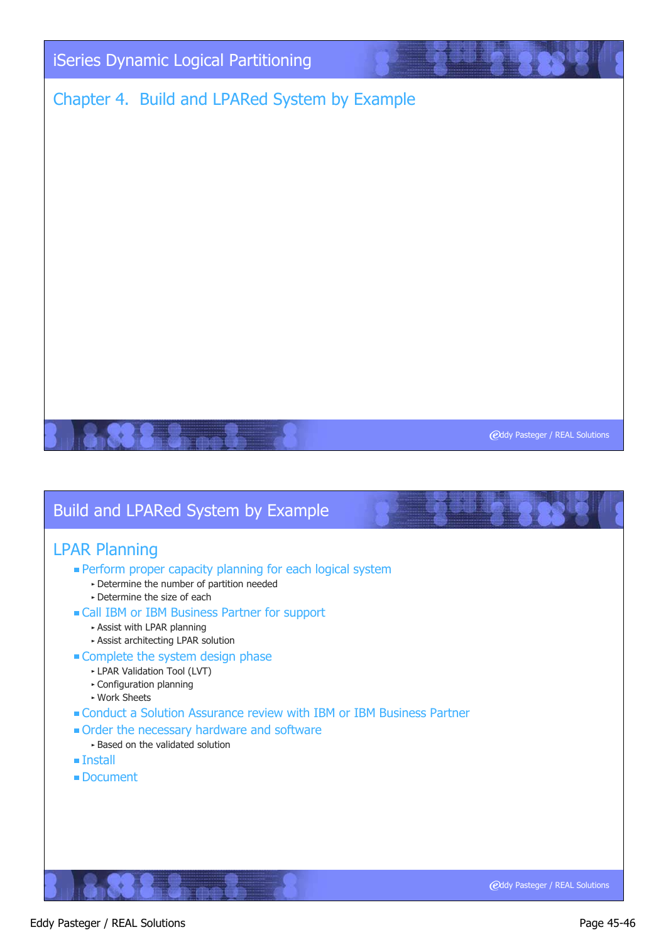

# Chapter 4. Build and LPARed System by Example

**@ddy Pasteger / REAL Solutions** 

# Build and LPARed System by Example

#### LPAR Planning

- **Perform proper capacity planning for each logical system** 
	- Determine the number of partition needed
	- Determine the size of each
- Call IBM or IBM Business Partner for support
	- Assist with LPAR planning
	- Assist architecting LPAR solution
- **Complete the system design phase** 
	- LPAR Validation Tool (LVT)
	- Configuration planning
	- Work Sheets
- Conduct a Solution Assurance review with IBM or IBM Business Partner
- Order the necessary hardware and software
- Based on the validated solution
- Install
- Document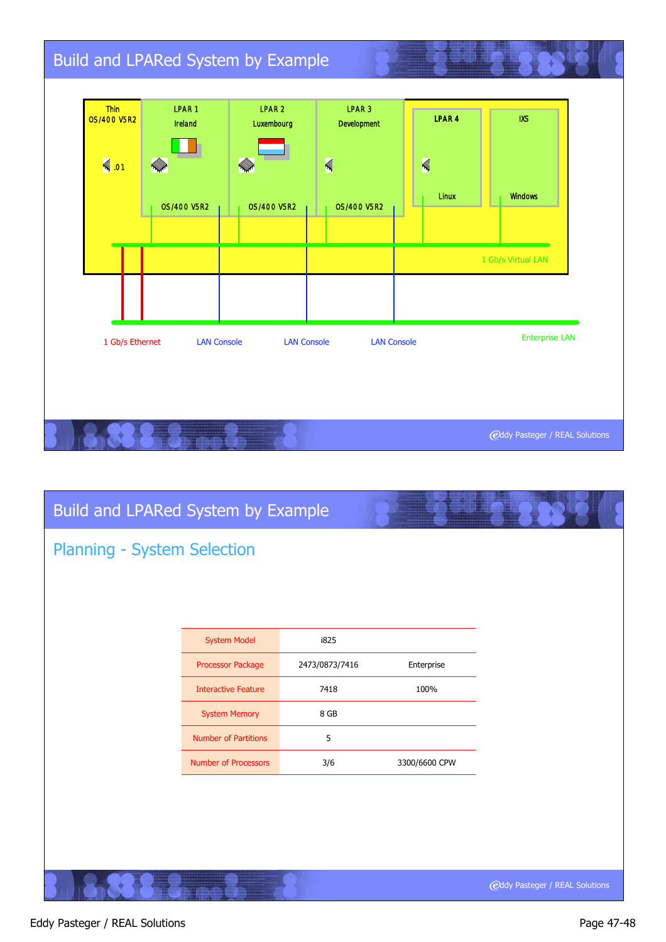| Thin<br><b>0S/400 V5R2</b><br>$\leqslant$ .01                                                              | LPAR1<br>Ireland<br>$\sim$ | LPAR <sub>2</sub><br>Luxembourg | LPAR <sub>3</sub><br>Development<br>$\blacktriangleleft$ | LPAR <sub>4</sub><br>$\blacktriangleleft$ | <b>IXS</b>         |
|------------------------------------------------------------------------------------------------------------|----------------------------|---------------------------------|----------------------------------------------------------|-------------------------------------------|--------------------|
|                                                                                                            | 0S/400 V5R2                | <b>0S/400 V5R2</b>              | <b>0S/400 V5R2</b>                                       | Linux                                     | <b>Windows</b>     |
|                                                                                                            |                            |                                 |                                                          |                                           | 1 Gb/s Virtual LAN |
|                                                                                                            |                            |                                 |                                                          |                                           |                    |
| <b>Enterprise LAN</b><br>1 Gb/s Ethernet<br><b>LAN Console</b><br><b>LAN Console</b><br><b>LAN Console</b> |                            |                                 |                                                          |                                           |                    |

| Build and LPARed System by Example |                             |                |               |                                       |  |  |  |  |
|------------------------------------|-----------------------------|----------------|---------------|---------------------------------------|--|--|--|--|
| <b>Planning - System Selection</b> |                             |                |               |                                       |  |  |  |  |
|                                    |                             |                |               |                                       |  |  |  |  |
|                                    |                             |                |               |                                       |  |  |  |  |
|                                    | <b>System Model</b>         | i825           |               |                                       |  |  |  |  |
|                                    | Processor Package           | 2473/0873/7416 | Enterprise    |                                       |  |  |  |  |
|                                    | <b>Interactive Feature</b>  | 7418           | 100%          |                                       |  |  |  |  |
|                                    | <b>System Memory</b>        | 8 GB           |               |                                       |  |  |  |  |
|                                    | <b>Number of Partitions</b> | 5              |               |                                       |  |  |  |  |
|                                    | Number of Processors        | 3/6            | 3300/6600 CPW |                                       |  |  |  |  |
|                                    |                             |                |               |                                       |  |  |  |  |
|                                    |                             |                |               |                                       |  |  |  |  |
|                                    |                             |                |               |                                       |  |  |  |  |
|                                    |                             |                |               |                                       |  |  |  |  |
|                                    |                             |                |               | <b>@ddy Pasteger / REAL Solutions</b> |  |  |  |  |

#### Eddy Pasteger / REAL Solutions **Page 47-48**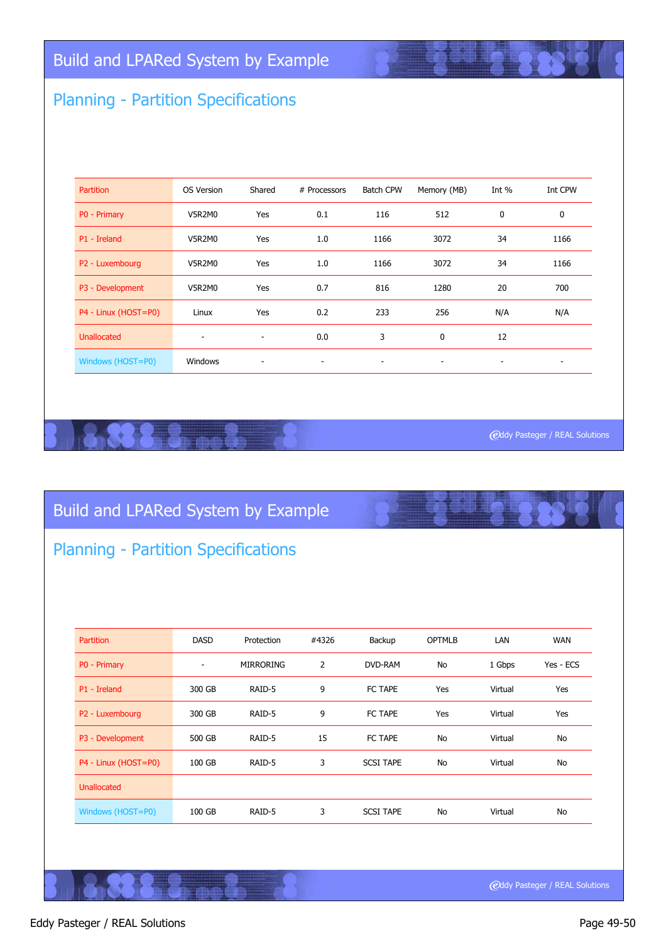# Planning - Partition Specifications

| <b>Partition</b>     | OS Version | Shared                   | # Processors             | <b>Batch CPW</b>         | Memory (MB)              | Int $%$                  | Int CPW |
|----------------------|------------|--------------------------|--------------------------|--------------------------|--------------------------|--------------------------|---------|
| P0 - Primary         | V5R2M0     | Yes                      | 0.1                      | 116                      | 512                      | $\mathbf 0$              | 0       |
| P1 - Ireland         | V5R2M0     | Yes                      | 1.0                      | 1166                     | 3072                     | 34                       | 1166    |
| P2 - Luxembourg      | V5R2M0     | Yes                      | 1.0                      | 1166                     | 3072                     | 34                       | 1166    |
| P3 - Development     | V5R2M0     | Yes                      | 0.7                      | 816                      | 1280                     | 20                       | 700     |
| P4 - Linux (HOST=P0) | Linux      | Yes                      | 0.2                      | 233                      | 256                      | N/A                      | N/A     |
| <b>Unallocated</b>   | ٠          | $\overline{\phantom{a}}$ | 0.0                      | 3                        | $\mathbf 0$              | 12                       |         |
| Windows (HOST=P0)    | Windows    | ۰                        | $\overline{\phantom{a}}$ | $\overline{\phantom{a}}$ | $\overline{\phantom{a}}$ | $\overline{\phantom{a}}$ | ۰       |

**@ddy Pasteger / REAL Solutions** 

# Build and LPARed System by Example

# Planning - Partition Specifications

| <b>Partition</b>     | <b>DASD</b>              | Protection       | #4326 | Backup           | <b>OPTMLB</b> | LAN     | <b>WAN</b> |
|----------------------|--------------------------|------------------|-------|------------------|---------------|---------|------------|
| P0 - Primary         | $\overline{\phantom{a}}$ | <b>MIRRORING</b> | 2     | DVD-RAM          | No            | 1 Gbps  | Yes - ECS  |
| P1 - Ireland         | 300 GB                   | RAID-5           | 9     | FC TAPE          | Yes           | Virtual | Yes        |
| P2 - Luxembourg      | 300 GB                   | RAID-5           | 9     | FC TAPE          | Yes           | Virtual | Yes        |
| P3 - Development     | 500 GB                   | RAID-5           | 15    | FC TAPE          | <b>No</b>     | Virtual | No         |
| P4 - Linux (HOST=P0) | 100 GB                   | RAID-5           | 3     | <b>SCSI TAPE</b> | <b>No</b>     | Virtual | No         |
| <b>Unallocated</b>   |                          |                  |       |                  |               |         |            |
| Windows (HOST=P0)    | 100 GB                   | RAID-5           | 3     | <b>SCSI TAPE</b> | <b>No</b>     | Virtual | No         |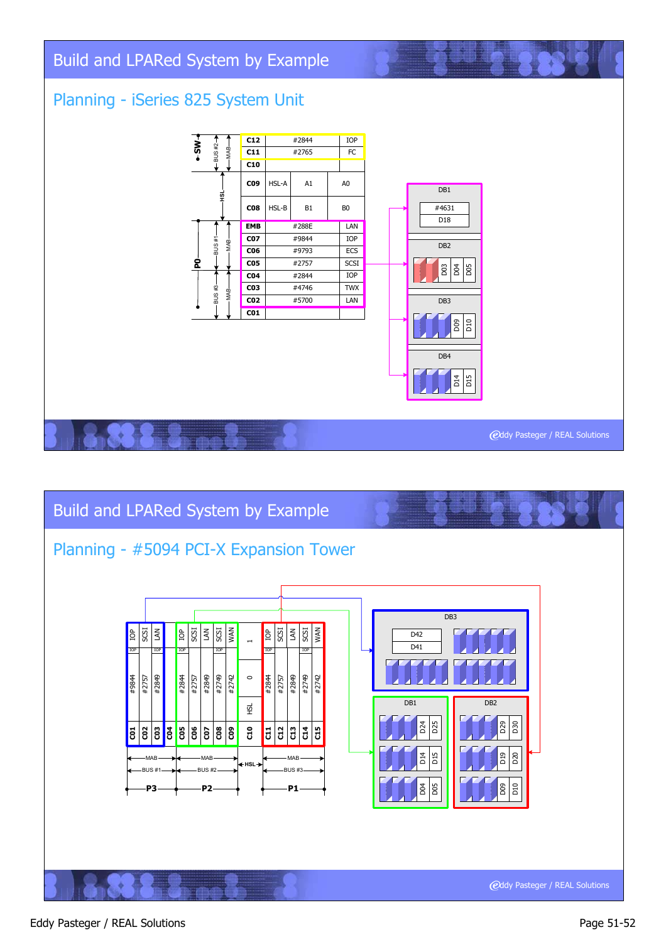# Build and LPARed System by Example

# Planning - iSeries 825 System Unit





#### Eddy Pasteger / REAL Solutions **Page 51-52**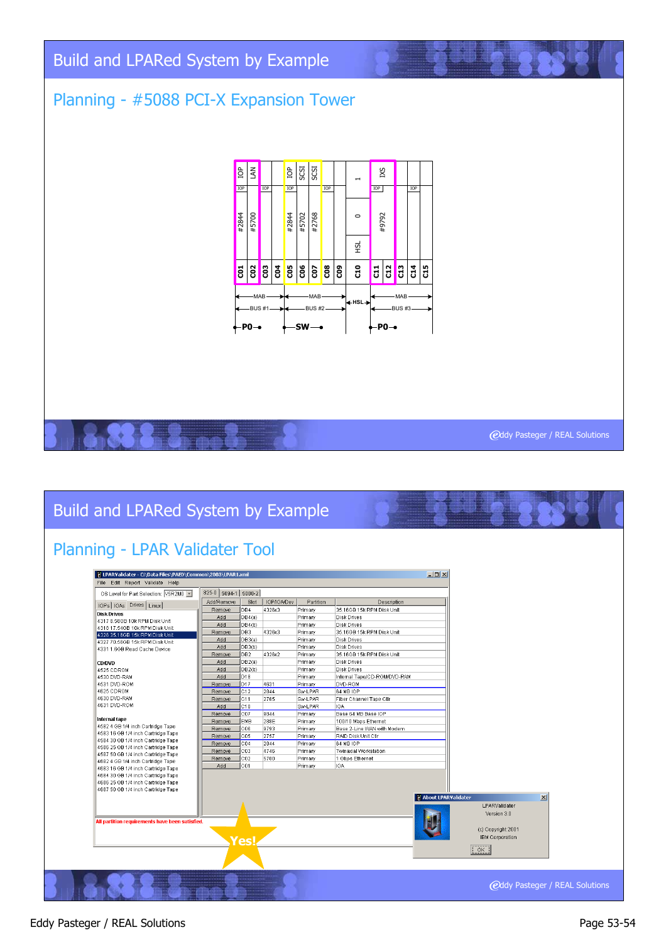# Build and LPARed System by Example

# Planning - #5088 PCI-X Expansion Tower



#### **@ddy Pasteger / REAL Solutions**

# Build and LPARed System by Example

# Planning - LPAR Validater Tool

| OS Level for Part Selection: V5R2M0 -                                   | 825-0 5094-1 5088-2 |                 |             |           |                              |                              |                    |                 |
|-------------------------------------------------------------------------|---------------------|-----------------|-------------|-----------|------------------------------|------------------------------|--------------------|-----------------|
| IOPs   IOAs Drives   Linux                                              | Add/Remove          | Slot            | IOP/IOA/Dev | Partition | Description                  |                              |                    |                 |
| <b>Disk Drives</b>                                                      | Remove              | DB4             | 4326x3      | Primary   | 35.16GB 15k RPM Disk Unit    |                              |                    |                 |
| 4317 8.58GB 10k RPM Disk Unit                                           | Add                 | DB4(a)          |             | Primary   | Disk Drives                  |                              |                    |                 |
| 4318 17.54GB 10k RPM Disk Unit                                          | Add                 | DB4(b)          |             | Primary   | Disk Drives                  |                              |                    |                 |
| 4326 35.16GB 15k RPM Disk Unit                                          | Remove              | DB3             | 4326x3      | Primary   | 35.16GB 15k RPM Disk Unit    |                              |                    |                 |
| 4327 70.56GB 15k RPM Disk Unit                                          | Add                 | DB3(a)          |             | Primary   | Disk Drives                  |                              |                    |                 |
| 4331 1.6GB Read Cache Device                                            | Add                 | DB3(b)          |             | Primary   | Disk Drives                  |                              |                    |                 |
|                                                                         | Remove              | DB <sub>2</sub> | 4326x2      | Primary   | 35.16GB 15k RPM Disk Unit    |                              |                    |                 |
| <b>CD/DVD</b>                                                           | Add                 | DB2(a)          |             | Primary   | <b>Disk Drives</b>           |                              |                    |                 |
| 4525 CDROM                                                              | Add                 | DB2(b)          |             | Primary   | Disk Drives                  |                              |                    |                 |
| 4530 DVD-RAM                                                            | Add                 | D <sub>18</sub> |             | Primary   | Internal Tape/CD-ROM/DVD-RAM |                              |                    |                 |
| 4531 DVD-ROM                                                            | Remove              | D17             | 4631        | Primary   | DVD-ROM                      |                              |                    |                 |
| 4625 CDROM                                                              | Remove              | C12             | 2844        | Sw-LPAR   | 64 MB IOP                    |                              |                    |                 |
| 4630 DVD-RAM                                                            | <b>Remove</b>       | lC11            | 2765        | Sw-LPAR   | Fiber Channel Tape Ctlr      |                              |                    |                 |
| 4631 DVD-ROM                                                            | Add                 | lc10            |             | Sw-LPAR   | <b>IOA</b>                   |                              |                    |                 |
|                                                                         | Remove              | C07             | 9844        | Primary   | Base 64 MB Base IOP          |                              |                    |                 |
| Internal tape                                                           | Remove              | EMB             | 288E        | Primary   | 100/10 Mbps Ethernet         |                              |                    |                 |
| 4582 4 GB 1/4 inch Cartridge Tape                                       | Remove              | C06             | 9793        | Primary   | Base 2-Line WAN with Modern  |                              |                    |                 |
| 4583 16 GB 1/4 inch Cartridge Tape                                      | Remove              | C05             | 2757        | Primary   | RAID Disk Unit Ctlr          |                              |                    |                 |
| 4584 30 GB 1/4 inch Cartridge Tape                                      | Remove              | C <sub>04</sub> | 2844        | Primary   | 64 MB IOP                    |                              |                    |                 |
| 4586 25 GB 1/4 inch Cartridge Tape                                      | Remove              | CO3             | 4746        | Primary   | Twinaxial Workstation        |                              |                    |                 |
| 4587 50 GB 1/4 inch Cartridge Tape                                      | Remove              | CO2             | 5700        | Primary   | 1 Gbps Ethernet              |                              |                    |                 |
| 4682 4 GB 1/4 inch Cartridge Tape<br>4683 16 GB 1/4 inch Cartridge Tape | Add                 | C <sub>01</sub> |             | Primary   | IOA                          |                              |                    |                 |
| 4684 30 GB 1/4 inch Cartridge Tape                                      |                     |                 |             |           |                              |                              |                    |                 |
| 4686 25 GB 1/4 inch Cartridge Tape                                      |                     |                 |             |           |                              |                              |                    |                 |
| 4687 50 GB 1/4 inch Cartridge Tape                                      |                     |                 |             |           |                              |                              |                    |                 |
|                                                                         |                     |                 |             |           |                              | <b>N</b> About LPARValidater |                    | $\vert x \vert$ |
|                                                                         |                     |                 |             |           |                              |                              | LPARValidater      |                 |
|                                                                         |                     |                 |             |           |                              |                              |                    |                 |
|                                                                         |                     |                 |             |           |                              |                              | Version 3.0        |                 |
| All partition requirements have been satisfied.                         |                     |                 |             |           |                              |                              |                    |                 |
|                                                                         |                     |                 |             |           |                              |                              | (c) Copyright 2001 |                 |
|                                                                         |                     | Yes             |             |           |                              |                              | IBM Corporation    |                 |
|                                                                         |                     |                 |             |           |                              | $\sqrt{CK}$                  |                    |                 |
|                                                                         |                     |                 |             |           |                              |                              |                    |                 |
|                                                                         |                     |                 |             |           |                              |                              |                    |                 |
|                                                                         |                     |                 |             |           |                              |                              |                    |                 |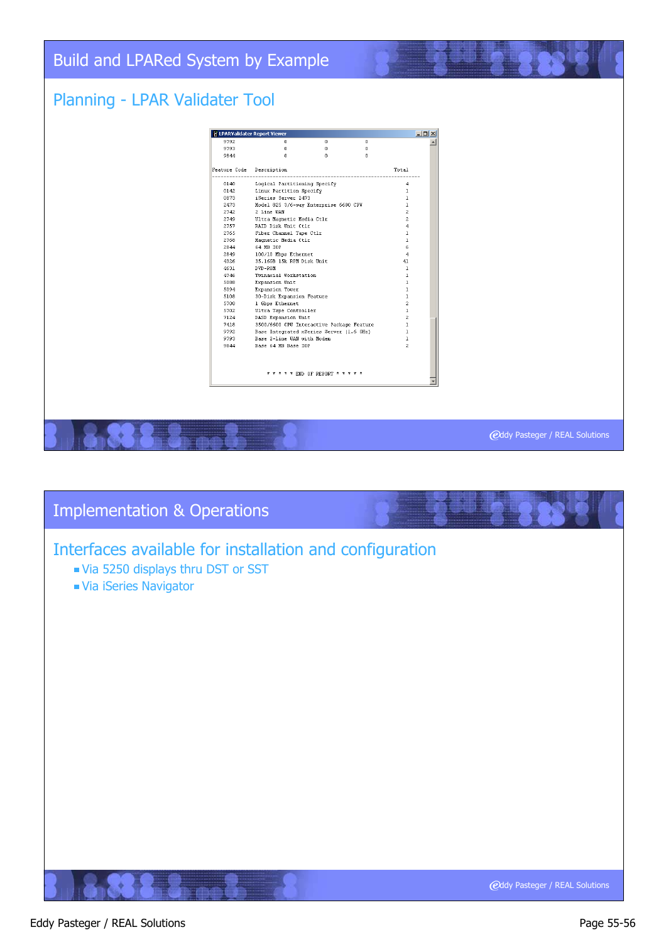# Build and LPARed System by Example

### Planning - LPAR Validater Tool



#### **@ddy Pasteger / REAL Solutions**

# **@ddy Pasteger / REAL Solutions** Implementation & Operations Interfaces available for installation and configuration Via 5250 displays thru DST or SST Via iSeries Navigator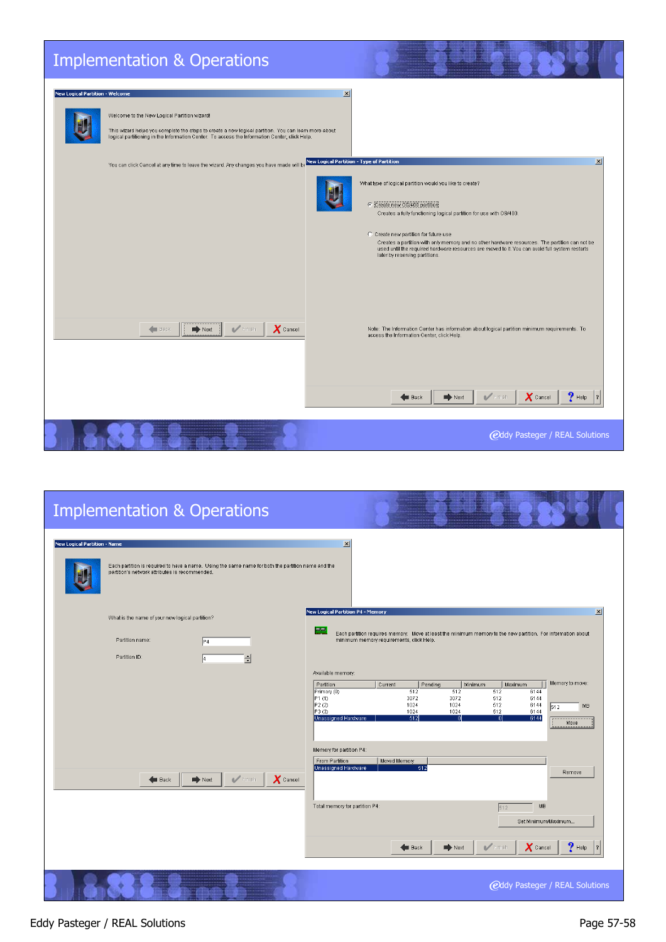| <b>Implementation &amp; Operations</b>                                                                                                                                                                                                                                                          |                                                                                                                                                                                                                                                                                                                                                                                                                                                                                                                     |
|-------------------------------------------------------------------------------------------------------------------------------------------------------------------------------------------------------------------------------------------------------------------------------------------------|---------------------------------------------------------------------------------------------------------------------------------------------------------------------------------------------------------------------------------------------------------------------------------------------------------------------------------------------------------------------------------------------------------------------------------------------------------------------------------------------------------------------|
| <b>New Logical Partition - Welcome</b><br>Welcome to the New Logical Partition wizard!<br>This wizard helps you complete the steps to create a new logical partition. You can learn more about<br>logical partitioning in the Information Center. To access the Information Center, click Help. | $\vert x \vert$                                                                                                                                                                                                                                                                                                                                                                                                                                                                                                     |
| You can click Cancel at any time to leave the wizard. Any changes you have made will b                                                                                                                                                                                                          | $\vert x \vert$<br><b>New Logical Partition - Type of Partition</b><br>What type of logical partition would you like to create?<br>Create new OS/400 partition<br>Creates a fully functioning logical partition for use with OS/400.<br>C Create new partition for future use<br>Creates a partition with only memory and no other hardware resources. The partition can not be<br>used until the required hardware resources are moved to it. You can avoid full system restarts<br>later by reserving partitions. |
| $\blacksquare$ Finish<br>$\bm{X}$ Cancel<br>$\rightarrow$ Next<br>Back                                                                                                                                                                                                                          | Note: The Information Center has information about logical partition minimum requirements. To<br>access the Information Center, click Help.<br>$P$ Help<br>$\blacksquare$ Finish<br>$\boldsymbol{X}$ Cancel<br>$\Rightarrow$ Next<br><b>Back</b>                                                                                                                                                                                                                                                                    |
|                                                                                                                                                                                                                                                                                                 | <b>@ddy Pasteger / REAL Solutions</b>                                                                                                                                                                                                                                                                                                                                                                                                                                                                               |

| <b>Implementation &amp; Operations</b>                                                                                                                                                      |                                                                                                                                                                                                                                                                                                                   |
|---------------------------------------------------------------------------------------------------------------------------------------------------------------------------------------------|-------------------------------------------------------------------------------------------------------------------------------------------------------------------------------------------------------------------------------------------------------------------------------------------------------------------|
| <b>New Logical Partition - Name</b><br>Each partition is required to have a name. Using the same name for both the partition name and the<br>partition's network attributes is recommended. | $\vert x \vert$                                                                                                                                                                                                                                                                                                   |
| What is the name of your new logical partition?<br>Partition name:<br>P <sub>4</sub>                                                                                                        | New Logical Partition P4 - Memory<br>$\vert x \vert$<br>PEI<br>Each partition requires memory. Move at least the minimum memory to the new partition. For information about<br>minimum memory requirements, click Help.                                                                                           |
| Partition ID:<br>Ħ                                                                                                                                                                          | Available memory:                                                                                                                                                                                                                                                                                                 |
|                                                                                                                                                                                             | Memory to move:<br>Partition<br>Current<br>Pending<br>Minimum<br>Maximum<br>512<br>512<br>512<br>6144<br>Primary (0)<br>P1(1)<br>3072<br>3072<br>6144<br>512<br>P2(2)<br>1024<br>6144<br>1024<br>512<br>MB<br>512<br>P3(3)<br>1024<br>1024<br>512<br>6144<br>Unassigned Hardware<br>512<br>6144<br>n<br>n<br>Move |
| $\boldsymbol{X}$ Cancel<br>$\blacktriangleright$ Finish<br><b>Back</b><br>$\Rightarrow$ Next                                                                                                | Memory for partition P4:<br>From Partition<br>Moved Memory<br>Unassigned Hardware<br>512<br>Remove                                                                                                                                                                                                                |
|                                                                                                                                                                                             | Total memory for partition P4:<br>MB<br>512<br>Set Minimum/Maximum                                                                                                                                                                                                                                                |
|                                                                                                                                                                                             | $?$ Help<br>$\blacksquare$ Finish<br>$\boldsymbol{X}$ Cancel<br><b>Explorer</b><br>$\Rightarrow$ Next                                                                                                                                                                                                             |
|                                                                                                                                                                                             | <b>@ddy Pasteger / REAL Solutions</b>                                                                                                                                                                                                                                                                             |

#### Eddy Pasteger / REAL Solutions **Page 57-58**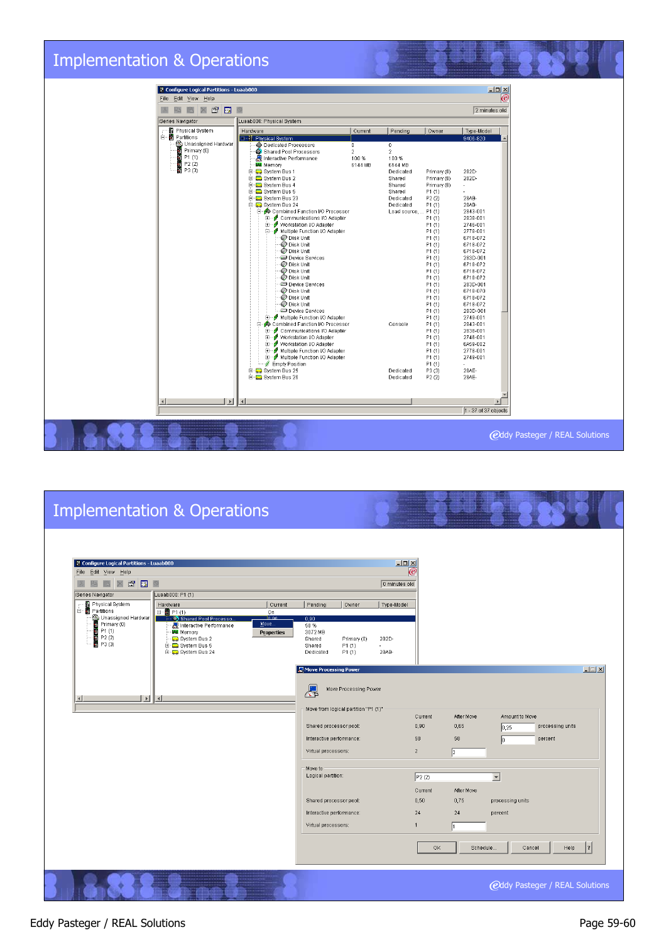

| <b>Implementation &amp; Operations</b>                                                                                                                                                                                                                                                                                                                                                                                                                                                   |                                                                                                                                                                                                                                                                                                                                                                                                                                                                     |                                                                                                                                                                                                                                                                                                                                                                             |
|------------------------------------------------------------------------------------------------------------------------------------------------------------------------------------------------------------------------------------------------------------------------------------------------------------------------------------------------------------------------------------------------------------------------------------------------------------------------------------------|---------------------------------------------------------------------------------------------------------------------------------------------------------------------------------------------------------------------------------------------------------------------------------------------------------------------------------------------------------------------------------------------------------------------------------------------------------------------|-----------------------------------------------------------------------------------------------------------------------------------------------------------------------------------------------------------------------------------------------------------------------------------------------------------------------------------------------------------------------------|
| File Edit View Help<br>$\Box$<br>$F^{\text{N}}$<br>iSeries Navigator<br>Luaab000: P1 (1)<br>- 图 Physical System<br>Current<br>Hardware<br>白 <b>n</b> Partitions<br>□ 間 P1 (1)<br>On<br>Unassigned Hardwar<br>.00 ما<br>Shared Pool Processo<br>$\frac{1}{2}$ Primary (0)<br>Move<br>Interactive Performance<br>T P1 (1)<br><b>Bu</b> Memory<br><b>Properties</b><br>■ P2 (2)<br>■ P3 (3)<br>System Bus 2<br>E-Co System Bus 5<br>E Co System Bus 24<br>$\vert \vert$<br>$\left  \right $ | $\Box$<br>0 minutes old<br>Pending<br>Owner<br>Type-Model<br>0,90<br>58 %<br>3072 MB<br>282D-<br>Shared<br>Primary (0)<br>P1(1)<br>Shared<br>Dedicated<br>P1(1)<br>28AB-<br>Move Processing Power<br>a.<br>Move Processing Power<br>Move from logical partition "P1 (1)"<br>Shared processor pool:<br>Interactive performance:<br>Virtual processors:<br>Move to<br>Logical partition:<br>Shared processor pool:<br>Interactive performance:<br>Virtual processors: | $\boldsymbol{\mathscr{C}}$<br>$\Box$<br>After Move<br>Current<br>Amount to Move<br>0,65<br>0,90<br>processing units<br>0,25<br>58<br>58<br>percent<br>lo.<br>$\overline{2}$<br>$\vert$ <sub>2</sub><br>$\overline{\phantom{a}}$<br>P2(2)<br>After Move<br>Current<br>0,50<br>0,75<br>processing units<br>24<br>24<br>percent<br>1<br>OK<br>Schedule<br>Cancel<br>Help<br> ? |
|                                                                                                                                                                                                                                                                                                                                                                                                                                                                                          |                                                                                                                                                                                                                                                                                                                                                                                                                                                                     | <b>@ddy Pasteger / REAL Solutions</b>                                                                                                                                                                                                                                                                                                                                       |

#### Eddy Pasteger / REAL Solutions **Page 59-60**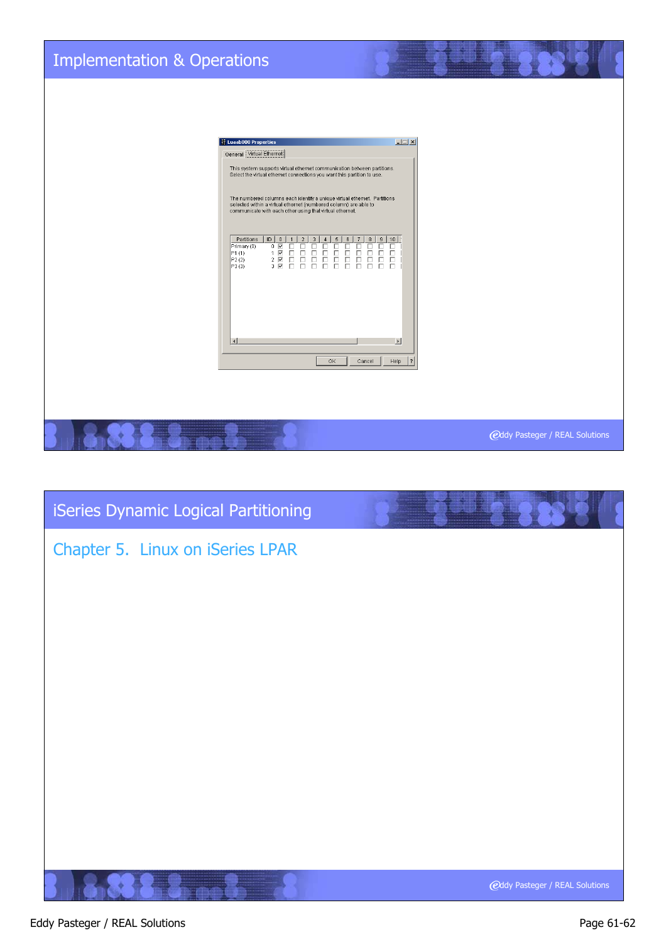

# **@ddy Pasteger / REAL Solutions** Chapter 5. Linux on iSeries LPAR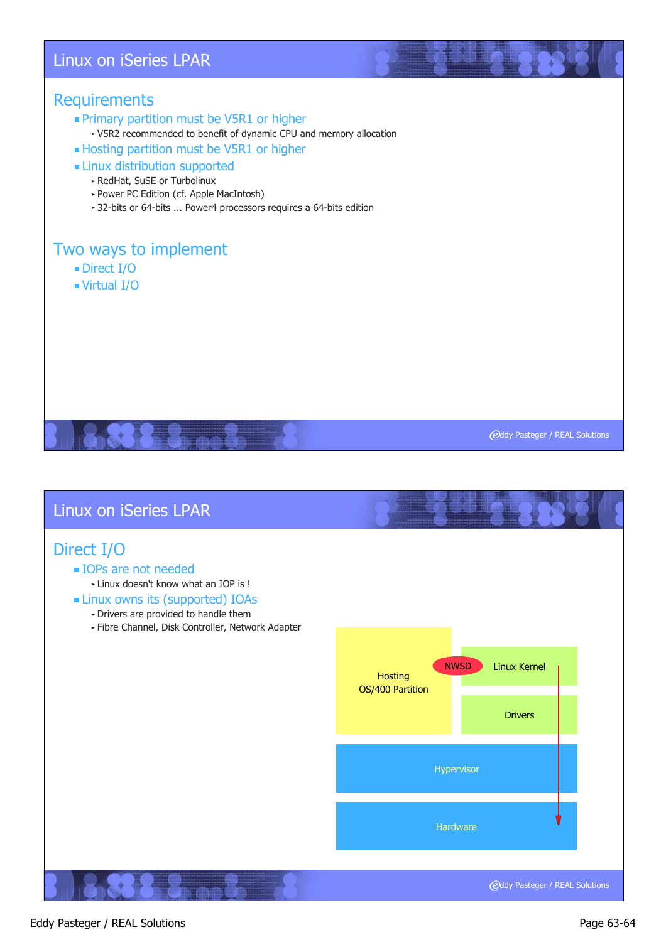#### Linux on iSeries LPAR

#### **Requirements**

- **Primary partition must be V5R1 or higher** 
	- V5R2 recommended to benefit of dynamic CPU and memory allocation
- **Hosting partition must be V5R1 or higher**

#### **Example 1** Linux distribution supported

- RedHat, SuSE or Turbolinux
- Power PC Edition (cf. Apple MacIntosh)
- 32-bits or 64-bits ... Power4 processors requires a 64-bits edition

# Two ways to implement

- Direct I/O
- Virtual I/O

**@ddy Pasteger / REAL Solutions** 

# **@ddy Pasteger / REAL Solutions** Linux on iSeries LPAR Direct I/O **IOPs are not needed** Linux doesn't know what an IOP is ! Linux owns its (supported) IOAs Drivers are provided to handle them Fibre Channel, Disk Controller, Network Adapter Linux Kernel Hypervisor Drivers **Hosting** OS/400 Partition **Hardware** NWSD

#### Eddy Pasteger / REAL Solutions **Page 63-64**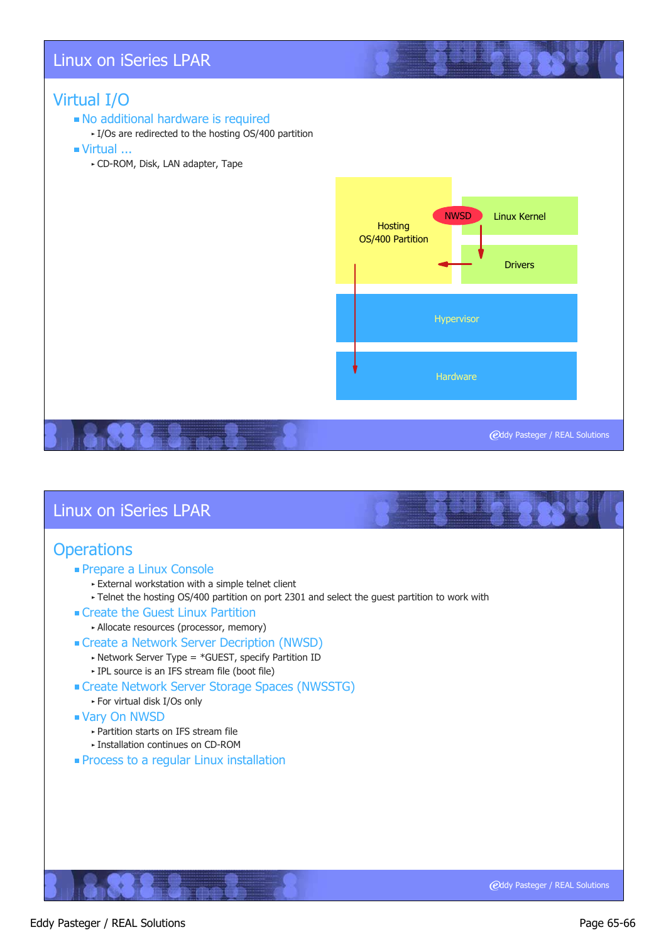#### Linux on iSeries LPAR

#### Virtual I/O

#### No additional hardware is required

- I/Os are redirected to the hosting OS/400 partition
- Virtual ...
	- CD-ROM, Disk, LAN adapter, Tape



#### Linux on iSeries LPAR

#### **Operations**

- **Prepare a Linux Console** 
	- External workstation with a simple telnet client
	- ► Telnet the hosting OS/400 partition on port 2301 and select the guest partition to work with
- Create the Guest Linux Partition
	- Allocate resources (processor, memory)
- Create a Network Server Decription (NWSD)
	- $\blacktriangleright$  Network Server Type = \*GUEST, specify Partition ID IPL source is an IFS stream file (boot file)
- Create Network Server Storage Spaces (NWSSTG)
	- For virtual disk I/Os only
- Vary On NWSD
	- Partition starts on IFS stream file
	- Installation continues on CD-ROM
- **Process to a regular Linux installation**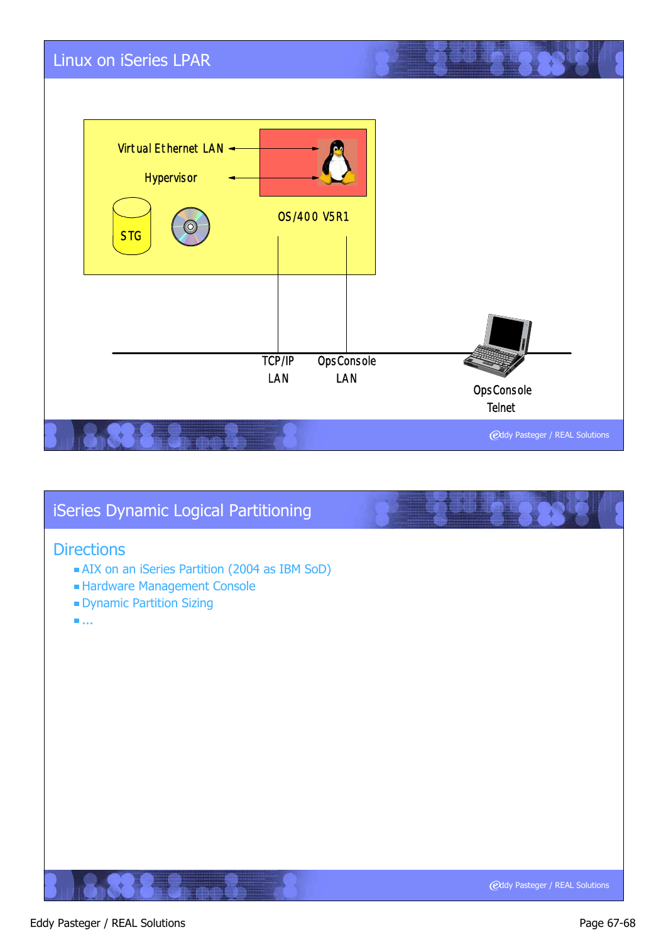

# **@ddy Pasteger / REAL Solutions** iSeries Dynamic Logical Partitioning **Directions** AIX on an iSeries Partition (2004 as IBM SoD) Hardware Management Console Dynamic Partition Sizing ...

#### Eddy Pasteger / REAL Solutions **Page 67-68**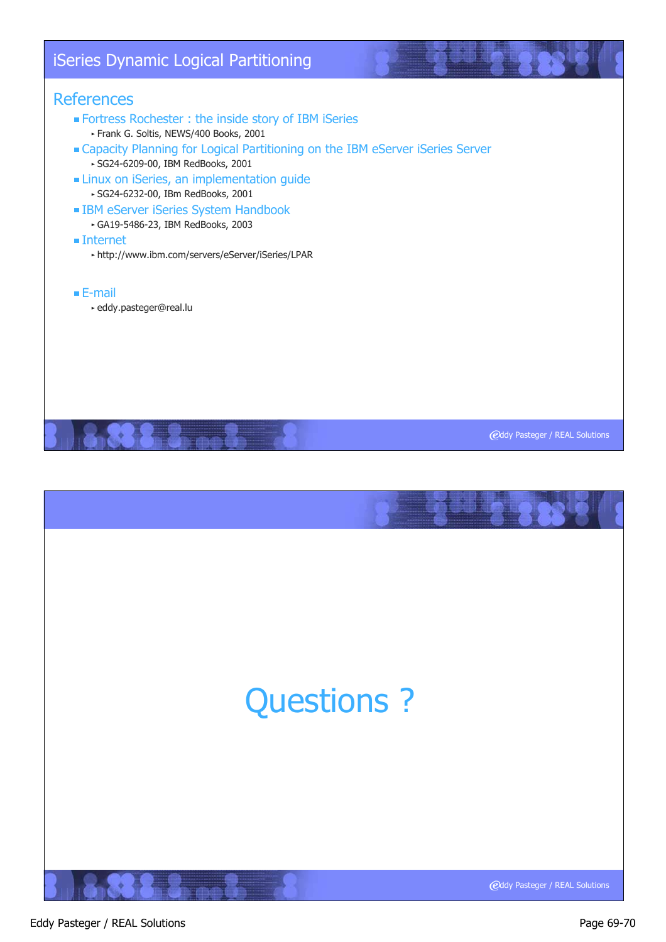# iSeries Dynamic Logical Partitioning

#### **References**

- Fortress Rochester : the inside story of IBM iSeries Frank G. Soltis, NEWS/400 Books, 2001
- Capacity Planning for Logical Partitioning on the IBM eServer iSeries Server SG24-6209-00, IBM RedBooks, 2001
- **ELINUX ON ISERIES, an implementation guide** 
	- SG24-6232-00, IBm RedBooks, 2001
- **IBM eServer iSeries System Handbook** 
	- GA19-5486-23, IBM RedBooks, 2003
- Internet
	- http://www.ibm.com/servers/eServer/iSeries/LPAR
- E-mail
	- eddy.pasteger@real.lu